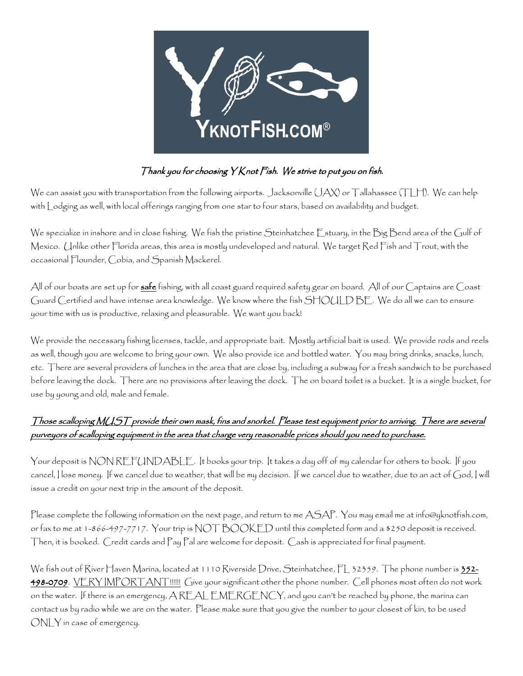

### Thank you for choosing Y Knot Fish. We strive to put you on fish.

We can assist you with transportation from the following airports. Jacksonville (JAX) or Tallahassee (TLH). We can help with Lodging as well, with local offerings ranging from one star to four stars, based on availability and budget.

We specialize in inshore and in close fishing. We fish the pristine Steinhatchee Estuary, in the Big Bend area of the Gulf of Mexico. Unlike other Florida areas, this area is mostly undeveloped and natural. We target Red Fish and Trout, with the occasional Flounder, Cobia, and Spanish Mackerel.

All of our boats are set up for **safe** fishing, with all coast guard required safety gear on board. All of our Captains are Coast Guard Certified and have intense area knowledge. We know where the fish SHOULD BE. We do all we can to ensure your time with us is productive, relaxing and pleasurable. We want you back!

We provide the necessary fishing licenses, tackle, and appropriate bait. Mostly artificial bait is used. We provide rods and reels as well, though you are welcome to bring your own. We also provide ice and bottled water. You may bring drinks, snacks, lunch, etc. There are several providers of lunches in the area that are close by, including a subway for a fresh sandwich to be purchased before leaving the dock. There are no provisions after leaving the dock. The on board toilet is a bucket. It is a single bucket, for use by young and old, male and female.

## Those scalloping MUST provide their own mask, fins and snorkel. Please test equipment prior to arriving. There are several purveyors of scalloping equipment in the area that charge very reasonable prices should you need to purchase.

Your deposit is NON REFUNDABLE. It books your trip. It takes a day off of my calendar for others to book. If you cancel, I lose money. If we cancel due to weather, that will be my decision. If we cancel due to weather, due to an act of God, I will issue a credit on your next trip in the amount of the deposit.

Please complete the following information on the next page, and return to me ASAP. You may email me at info@yknotfish.com, or fax to me at 1-866-497-7717. Your trip is  $\text{NOT BOOKED}$  until this completed form and a \$250 deposit is received. Then, it is booked. Credit cards and Pay Pal are welcome for deposit. Cash is appreciated for final payment.

We fish out of River Haven Marina, located at 1110 Riverside Drive, Steinhatchee, FL 32359. The phone number is 352-498-0709. VERY IMPORTANT!!!!!!! Give your significant other the phone number. Cell phones most often do not work on the water. If there is an emergency, A REAL EMERGENCY, and you can't be reached by phone, the marina can contact us by radio while we are on the water. Please make sure that you give the number to your closest of kin, to be used ONLY in case of emergency.